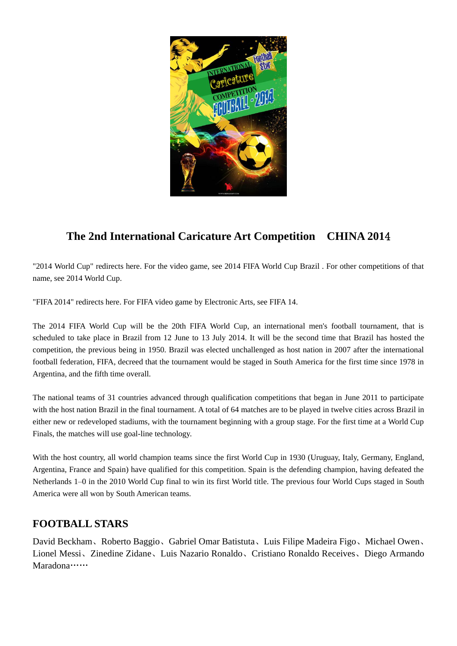

# **The 2nd International Caricature Art Competition CHINA 201**4

"2014 World Cup" redirects here. For the video game, see 2014 FIFA World Cup Brazil . For other competitions of that name, see 2014 World Cup.

"FIFA 2014" redirects here. For FIFA video game by Electronic Arts, see FIFA 14.

The 2014 FIFA World Cup will be the 20th FIFA World Cup, an international men's football tournament, that is scheduled to take place in Brazil from 12 June to 13 July 2014. It will be the second time that Brazil has hosted the competition, the previous being in 1950. Brazil was elected unchallenged as host nation in 2007 after the international football federation, FIFA, decreed that the tournament would be staged in South America for the first time since 1978 in Argentina, and the fifth time overall.

The national teams of 31 countries advanced through qualification competitions that began in June 2011 to participate with the host nation Brazil in the final tournament. A total of 64 matches are to be played in twelve cities across Brazil in either new or redeveloped stadiums, with the tournament beginning with a group stage. For the first time at a World Cup Finals, the matches will use goal-line technology.

With the host country, all world champion teams since the first World Cup in 1930 (Uruguay, Italy, Germany, England, Argentina, France and Spain) have qualified for this competition. Spain is the defending champion, having defeated the Netherlands 1–0 in the 2010 World Cup final to win its first World title. The previous four World Cups staged in South America were all won by South American teams.

### **FOOTBALL STARS**

David Beckham、Roberto Baggio、Gabriel Omar Batistuta、Luis Filipe Madeira Figo、Michael Owen、 Lionel Messi、Zinedine Zidane、Luis Nazario Ronaldo、Cristiano Ronaldo Receives、Diego Armando Maradona……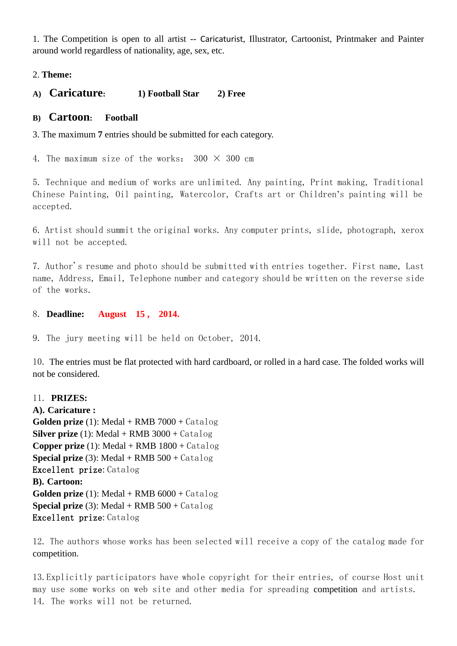1. The Competition is open to all artist -- Caricaturist, Illustrator, Cartoonist, Printmaker and Painter around world regardless of nationality, age, sex, etc.

#### 2. **Theme:**

**A) Caricature: 1) Football Star 2) Free** 

#### **B) Cartoon: Football**

3. The maximum **7** entries should be submitted for each category.

4. The maximum size of the works:  $300 \times 300$  cm

5. Technique and medium of works are unlimited. Any painting, Print making, Traditional Chinese Painting, Oil painting, Watercolor, Crafts art or Children's painting will be accepted.

6. Artist should summit the original works. Any computer prints, slide, photograph, xerox will not be accepted.

7. Author's resume and photo should be submitted with entries together. First name, Last name, Address, Email, Telephone number and category should be written on the reverse side of the works.

8. **Deadline: August 15 , 2014.**

9. The jury meeting will be held on October, 2014.

10. The entries must be flat protected with hard cardboard, or rolled in a hard case. The folded works will not be considered.

#### 11. **PRIZES:**

**A). Caricature : Golden prize** (1): Medal + RMB 7000 + Catalog **Silver prize** (1): Medal + RMB 3000 + Catalog **Copper prize** (1): Medal + RMB  $1800 + \text{Catalog}$ **Special prize** (3): Medal + RMB 500 + Catalog Excellent prize: Catalog **B). Cartoon: Golden prize** (1): Medal + RMB  $6000 + \text{Catalog}$ **Special prize** (3): Medal + RMB 500 + Catalog Excellent prize: Catalog

12. The authors whose works has been selected will receive a copy of the catalog made for competition.

13.Explicitly participators have whole copyright for their entries, of course Host unit may use some works on web site and other media for spreading competition and artists. 14. The works will not be returned.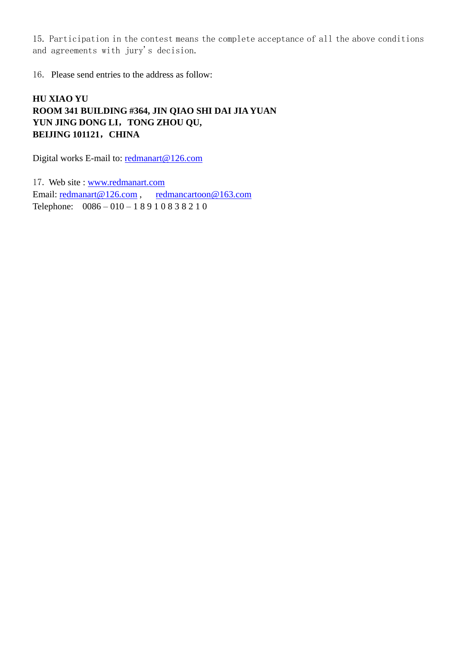15. Participation in the contest means the complete acceptance of all the above conditions and agreements with jury's decision.

16. Please send entries to the address as follow:

### **HU XIAO YU ROOM 341 BUILDING #364, JIN QIAO SHI DAI JIA YUAN YUN JING DONG LI**,**TONG ZHOU QU, BEIJING 101121**,**CHINA**

Digital works E-mail to: [redmanart@126.com](mailto:redmanart@126.com)

17. Web site : [www.redmanart.com](http://www.redmanart.com/) Email: [redmanart@126.com](mailto:redmanart@126.com), [redmancartoon@163.com](mailto:redmancartoon@163.com) Telephone: 0086 – 010 – 1 8 9 1 0 8 3 8 2 1 0